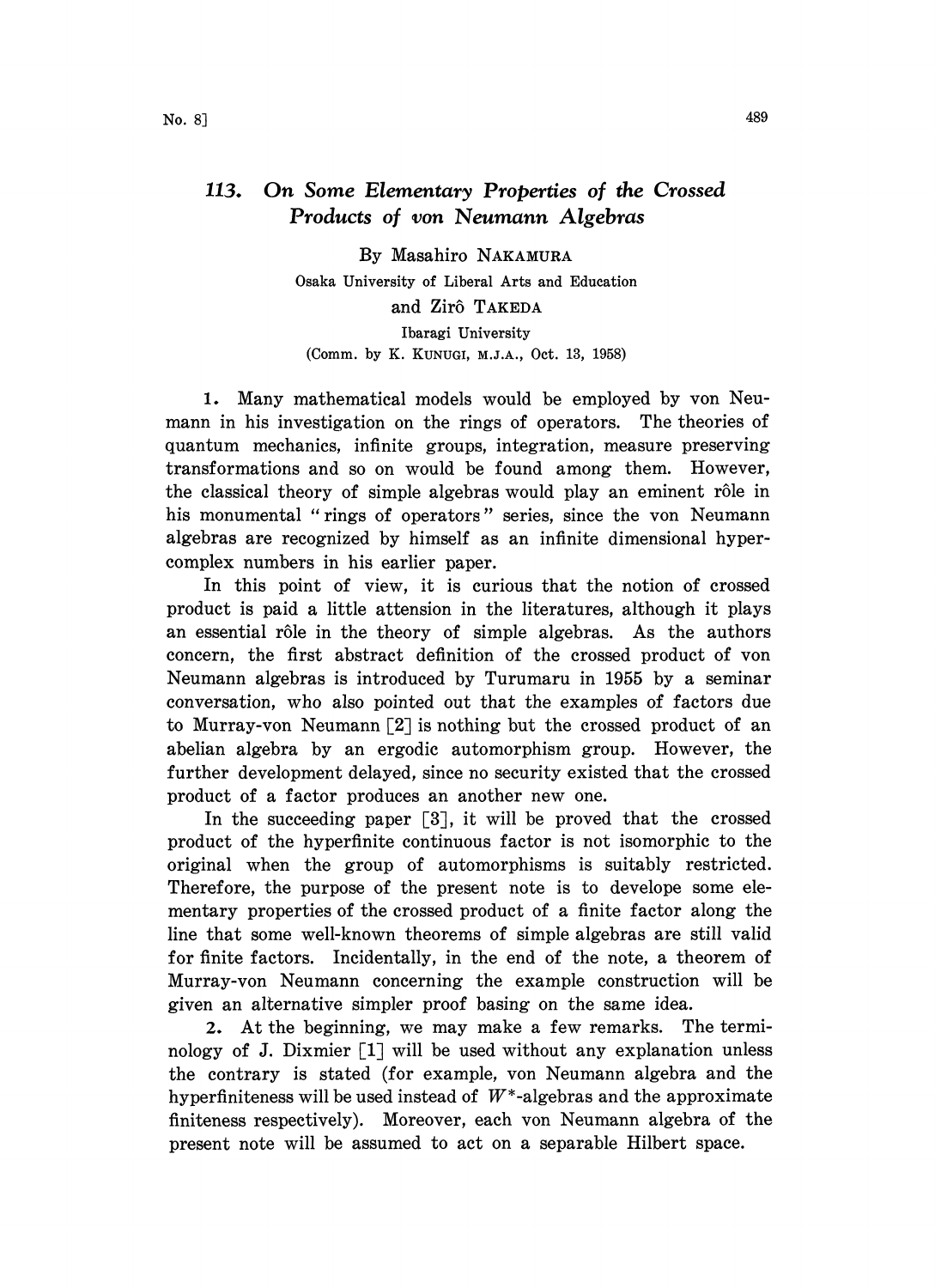## 113. On Some Elementary Properties of the Crossed Products of yon Neumann Algebras

By Masahiro NAKAMURA Osaka University of Liberal Arts and Education and Zirô TAKEDA Ibaragi University (Comm. by K. KUNUGI, M.J.A., Oct. 13, 1958)

1. Many mathematical models would be employed by yon Neumann in his investigation on the rings of operators. The theories of quantum mechanics, infinite groups, integration, measure preserving transformations and so on would be found among them. However, the classical theory of simple algebras would play an eminent rôle in his monumental "rings of operators" series, since the von Neumann algebras are recognized by himself as an infinite dimensional hypercomplex numbers in his earlier paper.

In this point of view, it is curious that the notion of crossed product is paid a little attension in the literatures, although it plays an essential rôle in the theory of simple algebras. As the authors concern, the first abstract definition of the crossed product of von Neumann algebras is introduced by Turumaru in 1955 by a seminar conversation, who also pointed out that the examples of factors due to Murray-von Neumann  $\lceil 2 \rceil$  is nothing but the crossed product of an abelian algebra by an ergodic automorphism group. However, the further development delayed, since no security existed that the crossed product of a factor produces an another new one.

In the succeeding paper [3], it will be proved that the crossed product of the hyperfinite continuous factor is not isomorphic to the original when the group of automorphisms is suitably restricted. Therefore, the purpose of the present note is to develope some elementary properties of the crossed product of a finite factor along the line that some well-known theorems of simple algebras are still valid for finite factors. Incidentally, in the end of the note, a theorem of Murray-von Neumann concerning the example construction will be given an alternative simpler proof basing on the same idea.

2. At the beginning, we may make a few remarks. The terminology of J. Dixmier  $[1]$  will be used without any explanation unless the contrary is stated (for example, von Neumann algebra and the hyperfiniteness will be used instead of  $W^*$ -algebras and the approximate finiteness respectively). Moreover, each yon Neumann algebra of the present note will be assumed to act on a separable Hilbert space.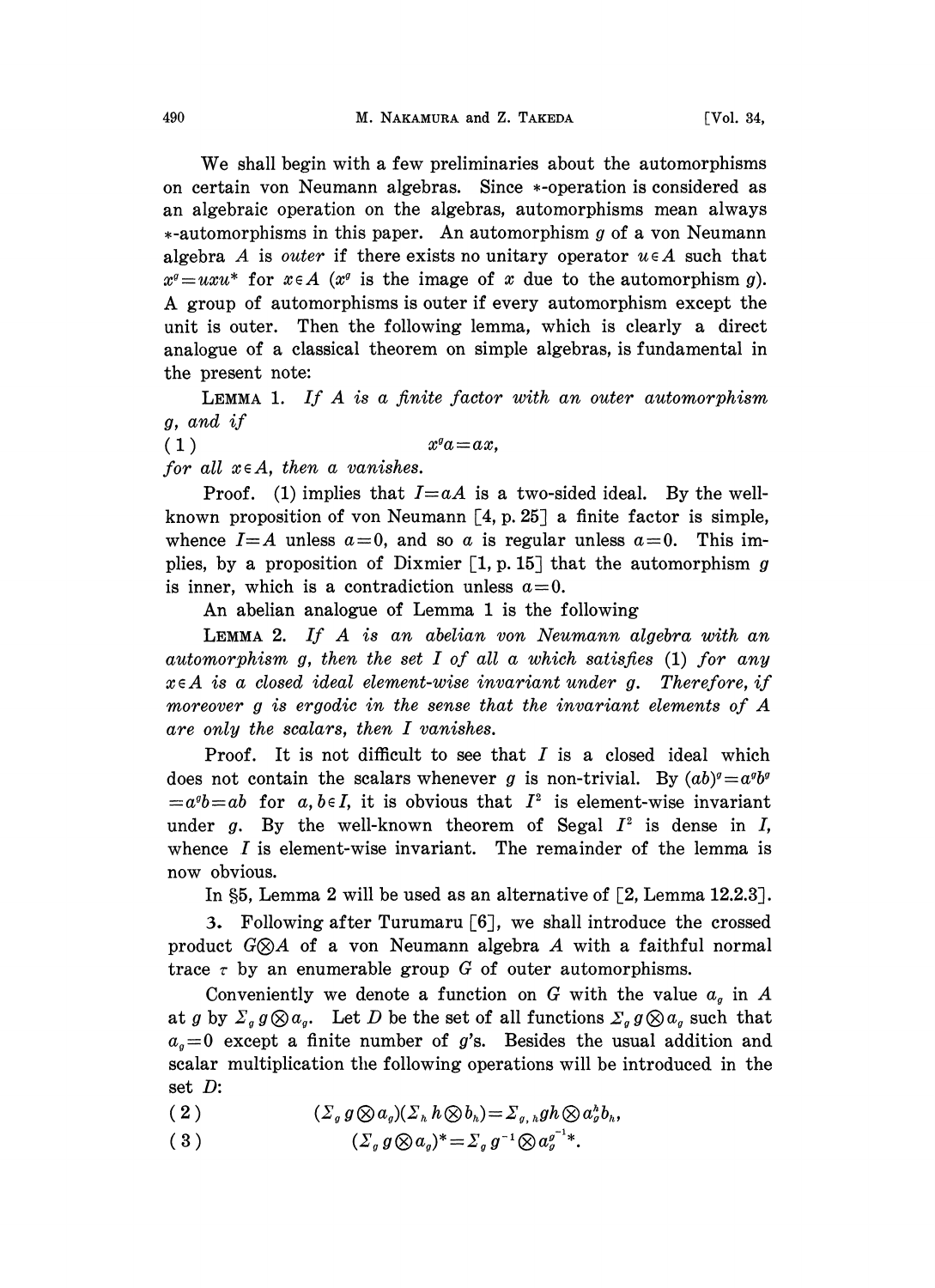We shall begin with <sup>a</sup> few preliminaries about the automorphisms on certain von Neumann algebras. Since \*-operation is considered as an algebraic operation on the algebras, automorphisms mean always  $*$ -automorphisms in this paper. An automorphism g of a von Neumann algebra A is outer if there exists no unitary operator  $u \in A$  such that  $x^{\sigma} = uxu^*$  for  $x \in A$  ( $x^{\sigma}$  is the image of x due to the automorphism g). A group of automorphisms is outer if every automorphism except the unit is outer. Then the following lemma, which is clearly a direct analogue of a classical theorem on simple algebras, is fundamental in the present note:

LEMMA 1. If A is a finite factor with an outer automorphism g, and if

(1)  $x^q a = ax$ ,

for all  $x \in A$ , then a vanishes.

Proof. (1) implies that  $I=aA$  is a two-sided ideal. By the wellknown proposition of von Neumann  $[4, p. 25]$  a finite factor is simple, whence  $I=A$  unless  $a=0$ , and so a is regular unless  $a=0$ . This implies, by a proposition of Dixmier  $[1, p. 15]$  that the automorphism g is inner, which is a contradiction unless  $a=0$ .

An abelian analogue of Lemma <sup>1</sup> is the following

LEMMA 2. If A is an abelian von Neumann algebra with an automorphism g, then the set I of all a which satisfies  $(1)$  for any  $x \in A$  is a closed ideal element-wise invariant under g. Therefore, if moreover <sup>g</sup> is ergodic in the sense that the invariant elements of A are only the scalars, then I vanishes.

Proof. It is not difficult to see that  $I$  is a closed ideal which does not contain the scalars whenever g is non-trivial. By  $(ab)^{q}=a^{q}b^{q}$  $=a<sup>g</sup>b=ab$  for a, be I, it is obvious that  $I<sup>2</sup>$  is element-wise invariant under  $g$ . By the well-known theorem of Segal  $I^2$  is dense in  $I$ , whence I is element-wise invariant. The remainder of the lemma is now obvious.

In §5, Lemma 2 will be used as an alternative of  $\lceil 2$ , Lemma 12.2.3.

3. Following after Turumaru [6], we shall introduce the crossed product  $G \otimes A$  of a von Neumann algebra A with a faithful normal trace  $\tau$  by an enumerable group G of outer automorphisms.

Conveniently we denote a function on G with the value  $a<sub>g</sub>$  in A at g by  $\Sigma_g g \otimes a_g$ . Let D be the set of all functions  $\Sigma_g g \otimes a_g$  such that  $a<sub>g</sub>=0$  except a finite number of g's. Besides the usual addition and scalar multiplication the following operations will be introduced in the set D:

(2)  $(\sum_{g} g \otimes a_{g})(\sum_{h} h \otimes b_{h}) = \sum_{g,h} gh \otimes a_{g}^{h} b_{h}$ 

(3)  $(\Sigma_g g \otimes a_g)^* = \Sigma_g g^{-1} \otimes a_g^{g^{-1}*}.$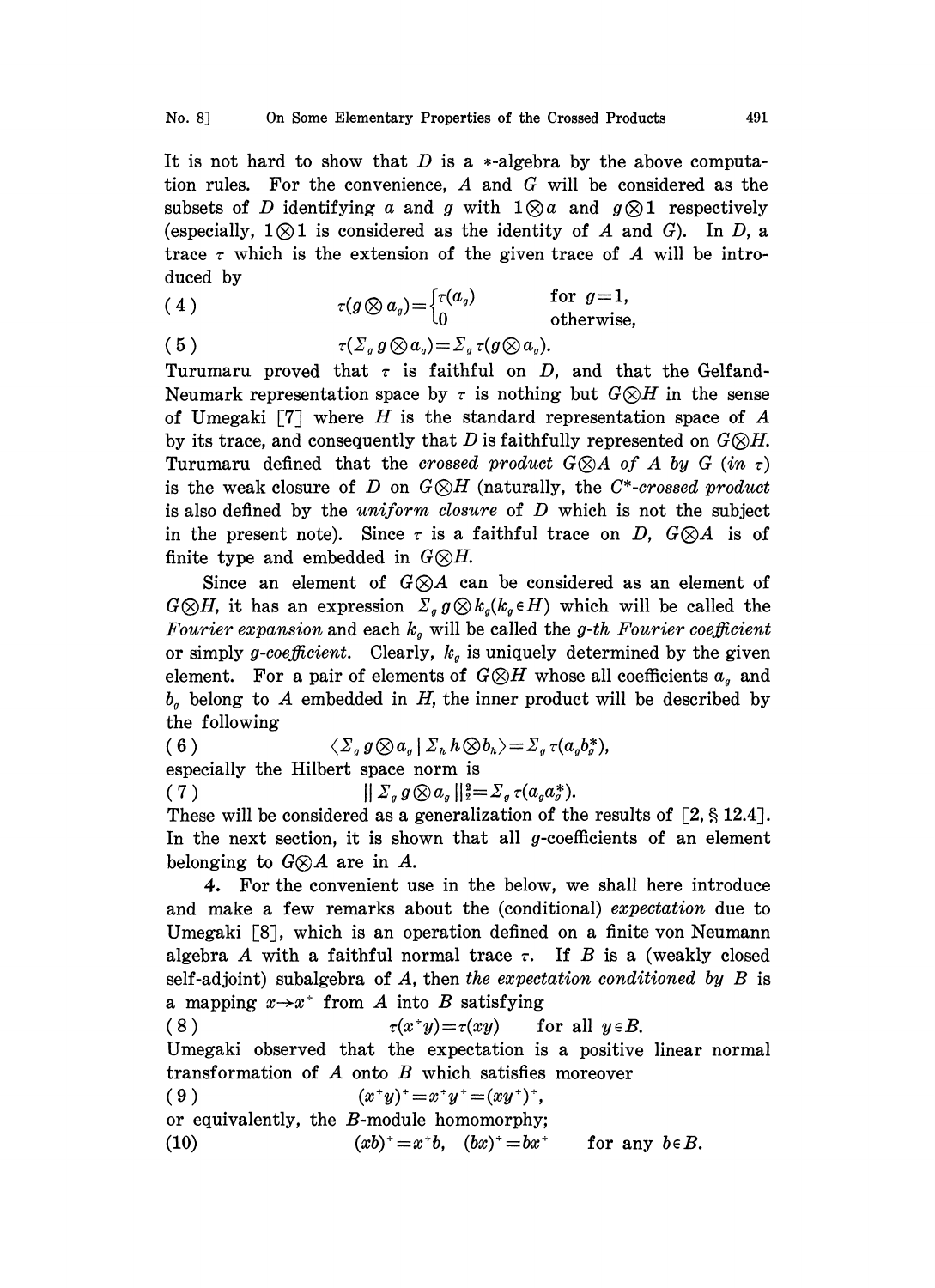It is not hard to show that  $D$  is a  $*$ -algebra by the above computation rules. For the convenience, A and G will be considered as the subsets of D identifying a and g with  $1 \otimes a$  and  $g \otimes 1$  respectively (especially,  $1 \otimes 1$  is considered as the identity of A and G). In D, a trace  $\tau$  which is the extension of the given trace of A will be introduced by

(4)  $\tau(g \otimes a_g) = \begin{cases} \tau(a_g) & \text{for } g=1, \\ 0 & \text{otherwise} \end{cases}$ otherwise,

( 5 )  $\tau(\Sigma_g g \otimes a_g) = \Sigma_g \tau(g \otimes a_g).$ 

Turumaru proved that  $\tau$  is faithful on D, and that the Gelfand-Neumark representation space by  $\tau$  is nothing but  $G \otimes H$  in the sense of Umegaki  $[7]$  where H is the standard representation space of A by its trace, and consequently that D is faithfully represented on  $G \otimes H$ . Turumaru defined that the crossed product  $G \otimes A$  of A by G (in  $\tau$ ) is the weak closure of D on  $G \otimes H$  (naturally, the C<sup>\*</sup>-crossed product is also defined by the  $uniform\ closure$  of  $D$  which is not the subject in the present note). Since  $\tau$  is a faithful trace on D,  $G \otimes A$  is of finite type and embedded in  $G \otimes H$ .

Since an element of  $G \otimes A$  can be considered as an element of  $G \otimes H$ , it has an expression  $\Sigma_g g \otimes k_g(k_g \in H)$  which will be called the Fourier expansion and each  $k_q$  will be called the g-th Fourier coefficient or simply g-coefficient. Clearly,  $k_q$  is uniquely determined by the given element. For a pair of elements of  $G\otimes H$  whose all coefficients  $a<sub>q</sub>$  and  $b<sub>g</sub>$  belong to A embedded in H, the inner product will be described by the following

( 6 )  $\langle \Sigma_g g \otimes a_g | \Sigma_h h \otimes b_h \rangle = \Sigma_g \tau(a_g b_g^*),$ 

especially the Hilbert space norm is

 $(7)$  $||\sum_{g} g \otimes a_{g}||_{2}^{2} = \sum_{g} \tau(a_{g}a_{g}^{*}).$ 

These will be considered as a generalization of the results of  $[2, §12.4]$ . In the next section, it is shown that all  $g$ -coefficients of an element belonging to  $G \otimes A$  are in A.

4. For the convenient use in the below, we shall here introduce and make a few remarks about the (conditional) expectation due to Umegaki  $\lceil 8 \rceil$ , which is an operation defined on a finite von Neumann algebra A with a faithful normal trace  $\tau$ . If B is a (weakly closed self-adjoint) subalgebra of A, then the expectation conditioned by  $B$  is a mapping  $x \rightarrow x^+$  from A into B satisfying

(8)  $\tau(x^*y)=\tau(xy)$  for all  $y \in B$ . Umegaki observed that the expectation is a positive linear normal transformation of A onto B which satisfies moreover ( 9 )  $(x^*y)^* = x^*y^* = (xy^*)^*,$ 

or equivalently, the B-module homomorphy;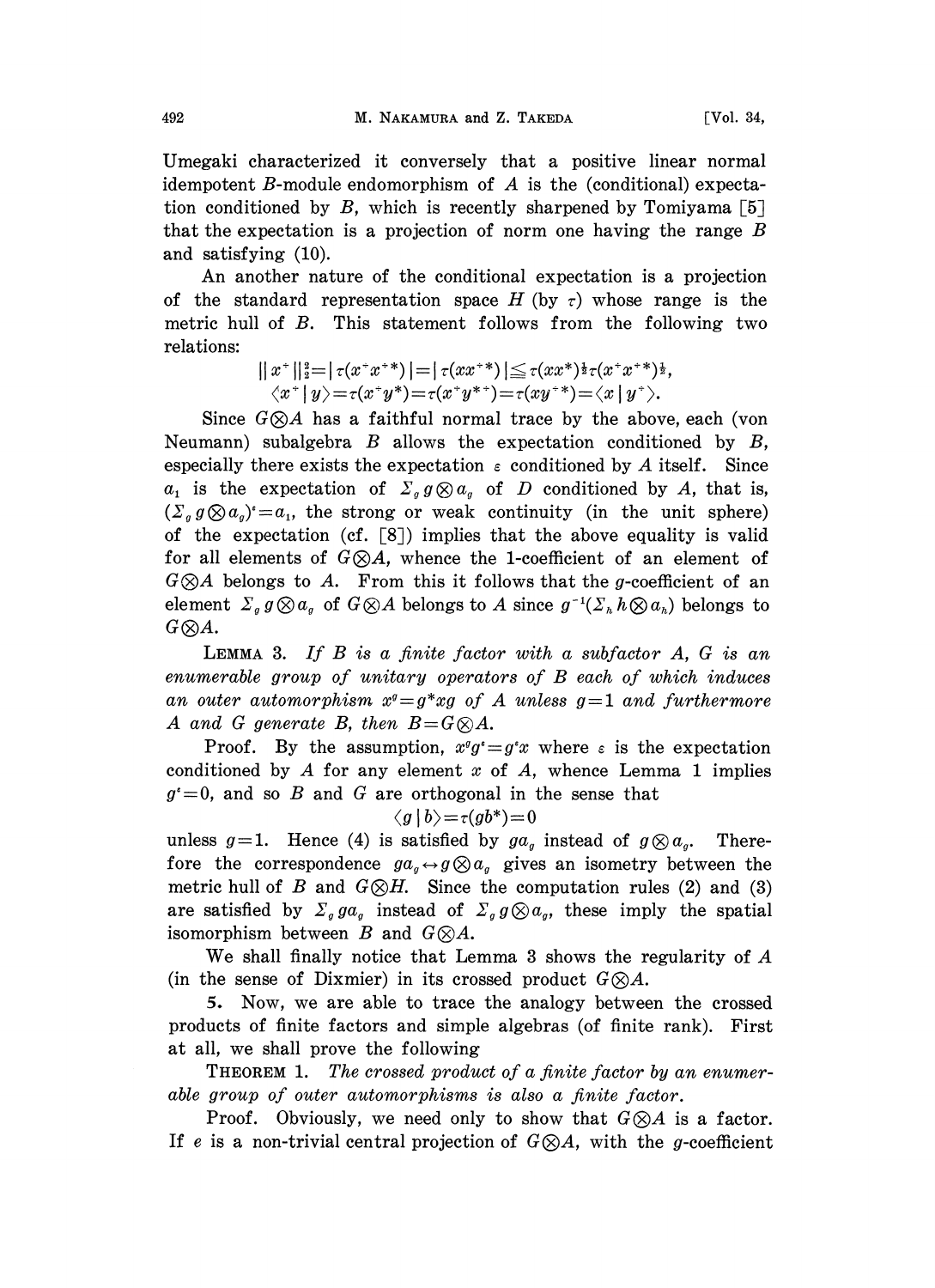Umegaki characterized it conversely that a positive linear normal idempotent B-module endomorphism of  $A$  is the (conditional) expectation conditioned by B, which is recently sharpened by Tomiyama  $\lceil 5 \rceil$ that the expectation is a projection of norm one having the range  $B$ and satisfying (10).

An another nature of the conditional expectation is a projection of the standard representation space H (by  $\tau$ ) whose range is the metric hull of B. This statement follows from the following two relations:

$$
||x^*||_2^2=|\tau(x^*x^{**})|=|\tau(xx^{**})|\leq \tau(xx^*)^{\frac{1}{2}}\tau(x^*x^{**})^{\frac{1}{2}},\langle x^*|y\rangle=\tau(x^*y^*)=\tau(x^*y^{**})=\tau(xy^{**})=\langle x|y^*\rangle.
$$

Since  $G \otimes A$  has a faithful normal trace by the above, each (von Neumann) subalgebra  $B$  allows the expectation conditioned by  $B$ , especially there exists the expectation  $\varepsilon$  conditioned by A itself. Since  $a_1$  is the expectation of  $\Sigma_g g \otimes a_g$  of D conditioned by A, that is,  $(\sum_{g} g \otimes a_{g})^{\epsilon} = a_{1}$ , the strong or weak continuity (in the unit sphere) of the expectation (cf.  $\lceil 8 \rceil$ ) implies that the above equality is valid for all elements of  $G \otimes A$ , whence the 1-coefficient of an element of  $G \otimes A$  belongs to A. From this it follows that the g-coefficient of an element  $\sum_{g} g \otimes a_{g}$  of  $G \otimes A$  belongs to A since  $g^{-1}(\sum_{h} h \otimes a_{h})$  belongs to  $G({\otimes}A.$ 

**LEMMA** 3. If  $B$  is a finite factor with a subfactor  $A$ ,  $G$  is an enumerable group of unitary operators of B each of which induces an outer automorphism  $x^g = g^*xg$  of A unless  $g=1$  and furthermore A and G generate B, then  $B= G \otimes A$ .

Proof. By the assumption,  $x^q g^* = g^* x$  where  $\varepsilon$  is the expectation conditioned by A for any element  $x$  of  $A$ , whence Lemma 1 implies  $g^* = 0$ , and so B and G are orthogonal in the sense that

$$
\langle g\,|\,b\big>=\tau (gb^*)\!=\!0
$$

unless  $g=1$ . Hence (4) is satisfied by  $ga_g$  instead of  $g\otimes a_g$ . Therefore the correspondence  $ga_q \leftrightarrow g \otimes a_q$  gives an isometry between the metric hull of B and  $G\otimes H$ . Since the computation rules (2) and (3) are satisfied by  $\Sigma_g g a_g$  instead of  $\Sigma_g g \otimes a_g$ , these imply the spatial isomorphism between B and  $G \otimes A$ .

We shall finally notice that Lemma <sup>3</sup> shows the regularity of A (in the sense of Dixmier) in its crossed product  $G\otimes A$ .

S. Now, we are able to trace the analogy between the crossed products of finite factors and simple algebras (of finite rank). First at all, we shall prove the following

THEOREM 1. The crossed product of a finite factor by an enumerable group of outer automorphisms is also a finite factor.

Proof. Obviously, we need only to show that  $G \otimes A$  is a factor. If e is a non-trivial central projection of  $G\otimes A$ , with the g-coefficient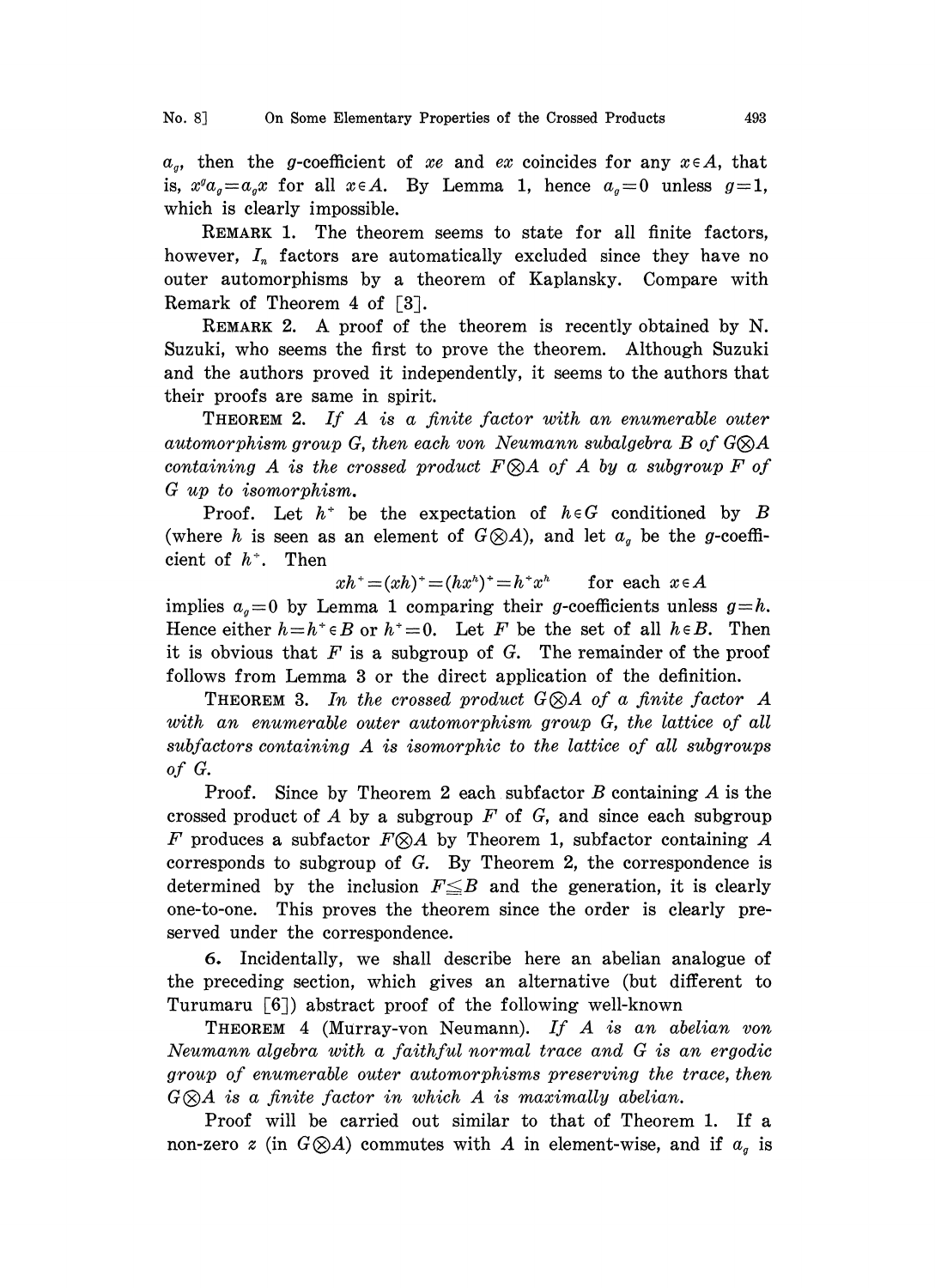$a_q$ , then the g-coefficient of xe and ex coincides for any  $x \in A$ , that is,  $x^q a_q = a_q x$  for all  $x \in A$ . By Lemma 1, hence  $a_q = 0$  unless  $q = 1$ , which is clearly impossible.

REMARK 1. The theorem seems to state for all finite factors, however,  $I_n$  factors are automatically excluded since they have no outer automorphisms by a theorem of Kaplansky. Compare with Remark of Theorem 4 of  $[3]$ .

REMARK 2. A proof of the theorem is recently obtained by N. Suzuki, who seems the first to prove the theorem. Although Suzuki and the authors proved it independently, it seems to the authors that their proofs are same in spirit.

THEOREM 2. If A is <sup>a</sup> finite factor with an enumerable outer automorphism group G, then each von Neumann subalgebra B of  $G\otimes A$ containing A is the crossed product  $F \otimes A$  of A by a subgroup F of G up to isomorphism.

Proof. Let  $h^+$  be the expectation of  $h \in G$  conditioned by B (where h is seen as an element of  $G\otimes A$ ), and let  $a<sub>g</sub>$  be the g-coefficient of  $h^*$ . Then

 $xh^+ = (xh)^+ = (hx^h)^+ = h^+x^h$  for each  $x \in A$ 

implies  $a_q=0$  by Lemma 1 comparing their g-coefficients unless  $q=h$ . Hence either  $h=h^*\in B$  or  $h^*=0$ . Let F be the set of all  $h\in B$ . Then it is obvious that  $F$  is a subgroup of  $G$ . The remainder of the proof follows from Lemma 3 or the direct application of the definition.

THEOREM 3. In the crossed product  $G\otimes A$  of a finite factor A with an enumerable outer automorphism group G, the lattice of all  $subfactors containing A$  is isomorphic to the lattice of all subgroups of G.

Proof. Since by Theorem 2 each subfactor  $B$  containing  $A$  is the crossed product of  $A$  by a subgroup  $F$  of  $G$ , and since each subgroup F produces a subfactor  $F \otimes A$  by Theorem 1, subfactor containing A corresponds to subgroup of G. By Theorem 2, the correspondence is determined by the inclusion  $F \leq B$  and the generation, it is clearly one-to-one. This proves the theorem since the order is clearly preserved under the correspondence.

5. Incidentally, we shall describe here an abelian analogue of the preceding section, which gives an alternative (but different to Turumaru [6]) abstract proof of the following well-known

THEOREM <sup>4</sup> (Murray-von Neumann). If A is an abelian yon Neumann algebra with <sup>a</sup> faithful normal trace and G is an ergodic group of enumerable outer automorphisms preserving the trace, then  $G \otimes A$  is a finite factor in which A is maximally abelian.

Proof will be carried out similar to that of Theorem 1. If a non-zero z (in  $G\otimes A$ ) commutes with A in element-wise, and if  $a<sub>a</sub>$  is